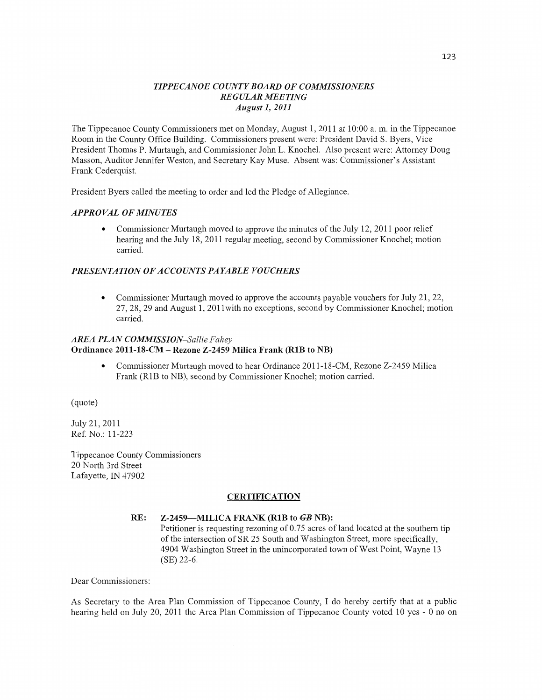### *TIPPECANOE COUNT Y BOARD* OF *COMMISSIONERS REGULAR MEETING August* 1, *2011*

The Tippecanoe County Commissioners met on Monday, August 1, 2011 at 10:00 a. m. in the Tippecanoe Room in the County Office Building. Commissioners present were: President David S. Byers, Vice President Thomas P. Murtaugh, and Commissioner John L. Knochel. Also present were: Attorney Doug Masson, Auditor Jennifer Weston, and Secretary Kay Muse. Absent was: Commissioner's Assistant Frank Cederquist.

President Byers called the meeting to order and led the Pledge of Allegiance.

### *APPROVAL* OF *MINUTES*

**0** Commissioner Murtaugh moved to approve the **minutes** of the July 12, 2011 poor relief hearing and the July 18, 2011 regular meeting, second by Commissioner Knochel; motion carried.

#### *PRESENTATION* OF *ACCOUNTS PAYABLE VOUCHERS*

**0** Commissioner Murtaugh moved to approve the accounts payable vouchers for July 21, 22, 27, 28, 29 and August 1, 2011with no exceptions, **second** by Commissioner Knochel; motion carried.

### *AREA PLAN COMMISSION~Sallie Fahey*  Ordinance **2011-18-CM** — **Rezone Z-2459 Milica Frank (RIB** to NB)

**0** Commissioner Murtaugh moved to hear Ordinance 2011-18-CM, Rezone Z—2459 Milica Frank (R1B to NB), second by Commissioner Knochel; motion carried.

(quote)

July 21, 2011 Ref. **No.2** 11-223

Tippecanoe County Commissioners 20 North 3rd Street Lafayette, IN 47902

#### **CERTIFICATION**

#### RE: **Z—2459—MILICA FRANK (RIB** to GB **NB):**

Petitioner is requesting rezoning of **0.75** acres of land located at the southern tip of the intersection of SR 25 South and Washington Street, more specifically, 4904 Washington Street in the unincorporated town of West Point, Wayne 13 (SE) 22—6.

Dear Commissioners:

As Secretary to the Area Plan Commission of Tippecanoe **County,** I do hereby certify that at a public hearing held on July 20, 2011 the Area Plan **Commission** of Tippecanoe County voted 10 yes *-* **0** no on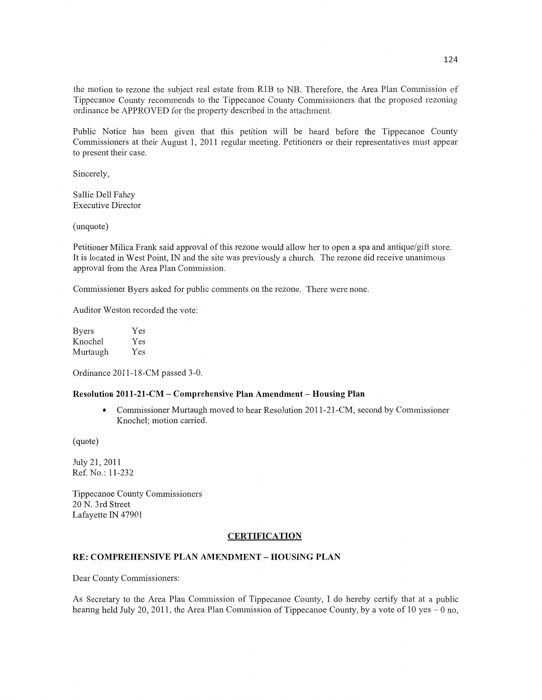the motion to rezone the subject real estate from RIB to NB. Therefore, the Area **Plan** Commission of Tippecanoe County recommends to the Tippecanoe County Commissioners that the proposed rezoning ordinance be APPROVED for the property described in the attachment.

Public Notice has been given that this petition will be heard before the Tippecanoe County Commissioners at their August 1, 2011 regular meeting. Petitioners or their representatives must appear to present their **case.** 

Sincerely,

Sallie Dell Fahey Executive Director

(unquote)

Petitioner Milica Frank said approval of this rezone would allow her to open a spa and antique/gift store. It is located in West Point, IN and the site was previously a church. The rezone did receive unanimous approval from the Area Plan Commission.

Commissioner Byers asked for public comments on the rezone. There were none.

**Auditor** Weston recorded the vote:

Byers Yes Knochel Yes Murtaugh Yes

Ordinance 2011-18-CM passed 3-0.

#### **Resolution 2011-21-CM — Comprehensive Plan Amendment — Housing Plan**

**0** Commissioner Murtaugh moved to hear Resolution 2011-21-CM, **second** by Commissioner Knochel; motion carried.

(quote)

July 21, 2011 Ref. No.: 11-232

Tippecanoe County Commissioners 20 N. 3rd Street Lafayette IN 47901

#### **CERTIFICATION**

### RE: **COMPREHENSIVE PLAN AMENDMENT — HOUSING PLAN**

Dear County Commissioners:

As Secretary to the Area **Plan** Commission of Tippecanoe County, I do hereby certify **that** at a public hearing held July 20, 2011, the Area Plan Commission of Tippecanoe County, by a vote of 10 yes – 0 no,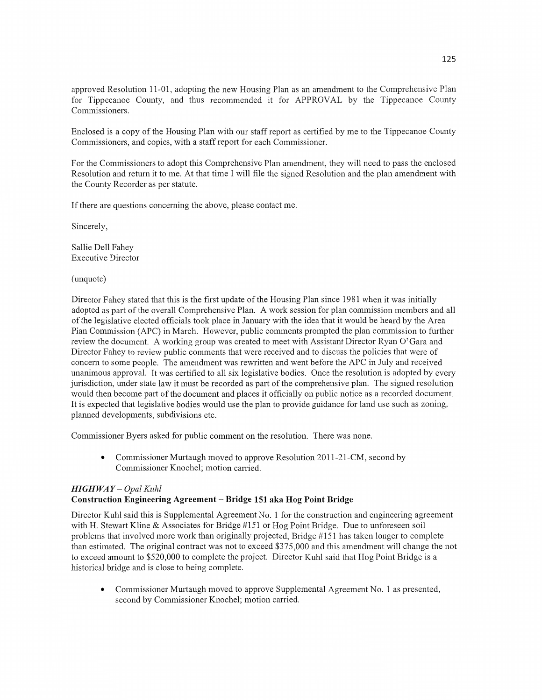approved Resolution 11-01, adopting the new Housing Plan as an amendment to the Comprehensive Plan for Tippecanoe County, and thus recommended it for APPROVAL by the Tippecanoe County Commissioners.

Enclosed is **a** copy of the Housing Plan with our staff report as certified by me to the Tippecanoe County Commissioners, and copies, with a staff report for each Commissioner.

For the Commissioners to adopt this Comprehensive Plan amendment, they will need to pass the enclosed Resolution and return it to me. At **that** time **I** will file the signed Resolution and the plan amendment with the County Recorder as per statute.

If there are questions concerning the above, please contact me.

Sincerely,

Sallie Dell Fahey Executive Director

(unquote)

Director Fahey stated that **this** is the first update of the Housing Plan **since** 1981 when it was initially adopted as part of the overall Comprehensive Plan. A work session for plan commission members and all of the legislative elected officials took place in January with the idea that it would be heard by the Area **Plan** Commission (APC) in March. However, public comments prompted the plan commission to further review the document. A working group was created to meet with Assistant Director Ryan O'Gara and Director Fahey to review public comments that were received and to discuss the policies that were of concern to some people. The amendment was rewritten and went before the APC in July and received unanimous approval. It was certified to all six legislative bodies. Once the resolution is adopted by every jurisdiction, under state law it must be recorded as part of the comprehensive plan. The signed resolution would then become part of the document and places it officially on public notice as **a** recorded document. It is expected that legislative bodies would use the plan to provide guidance for **land** use such as zoning, planned developments, subdivisions **etc.** 

Commissioner Byers asked for public comment on the resolution. There was none.

• Commissioner Murtaugh moved to approve Resolution 2011-21-CM, second by Commissioner Knochel; motion carried.

#### *HIGHWAY — Opal Kuhl*  **Construction Engineering Agreement - Bridge** 151 aka Hog **Point Bridge**

Director Kuhl said this is Supplemental Agreement No. l for the construction and engineering agreement with H. Stewart Kline & Associates for Bridge #151 or Hog Point Bridge. Due to unforeseen soil problems **that** involved more work **than** originally projected, Bridge #151 has taken longer to complete **than** estimated. The original contract was not to exceed \$375,000 and **this** amendment will change the not to exceed amount to \$520,000 to complete the project. Director Kuhl said that Hog **Point** Bridge is a historical bridge and is close to being complete.

**0** Commissioner Multaugh moved to approve Supplemental Agreement No. **1** as presented, second by Commissioner Knochel; motion carried.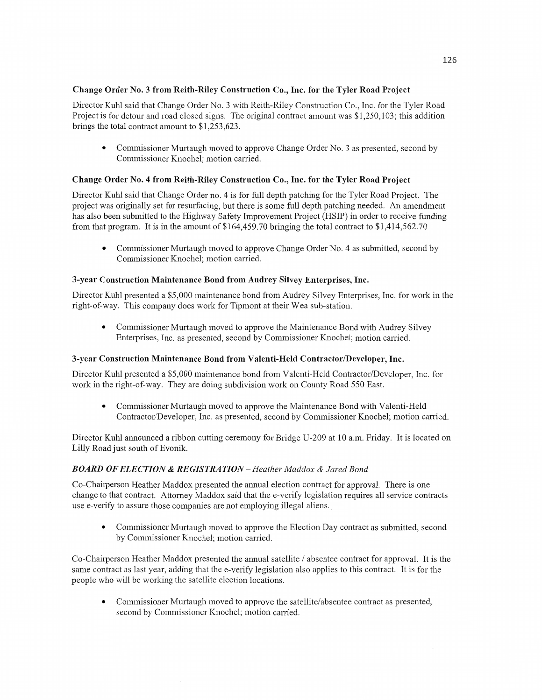## **Change** Order No. 3 **from** Reith-Riley Construction **Co.,** Inc. for the Tyler **Road Project**

Director Kuhl said **that** Change Order No. 3 with Keith-Riley Constwction Co., Inc. for the Tyler Road Project is for detour and road closed signs. The original contract amount was \$1,250,103; this addition brings the total contract amount to \$1,253,623.

• Commissioner Murtaugh moved to approve Change Order No. 3 as presented, second by Commissioner Knochel; motion carried.

# **Change** Order No. **4** from Reith—Riley Construction **Co., Inc.** for the Tyler **Road Project**

Director Kuhl said **that** Change Order no. 4 is for full depth patching for the Tyler Road Project. The project was originally set for resurfacing, but there is some full depth patching needed. An amendment has also been submitted to the Highway Safety Improvement Project **(HSIP)** in order to receive funding from that program. It is in the amount of \$164,459.70 bringing the total contract to \$1,414,562.70

• Commissioner Murtaugh moved to approve Change Order No. 4 as submitted, second by Commissioner Knochel; motion carried.

# **3-year** Construction Maintenance **Bond from** Audrey Silvey **Enterprises, Inc.**

Director Kuhl presented a \$5,000 maintenance **bond** from Audrey Silvey Enterprises, Inc. for work in the right-of—way. This company does work for **Tipmont** at their Wea sub-station.

• Commissioner Murtaugh moved to approve the Maintenance Bond with Audrey Silvey Enterprises, **Inc.** as presented, second by Commissioner Knochel; motion carried.

# 3-year Construction **Maintenance** Bond from **Valenti-Held Contractor/Developer, Inc.**

Director Kuhl presented a \$5,000 maintenance bond from Valenti-Held Contractor/Developer, Inc. for work in the right-of-way. They are doing subdivision work on County Road 550 **East.** 

**0** Commissioner Murtaugh moved to approve the Maintenance Bond with Valenti—Held Contractor/Developer, Inc. as presented, second by Commissioner Knochel; motion carried.

Director Kuhl announced a ribbon cutting ceremony for Bridge U-209 at 10 am. Friday. It is located on Lilly Road just **south** of Evom'k.

# *BOARD* OF *ELECTION &* RE *GISTRA TION* — *Heather Maddox & Jared Bond*

Co—Chairperson Heather Maddox presented the annual election contract for approval. There is one change to that contract. Attorney Maddox said that the e-verify legislation requires all service contracts use e-verify to assure those companies are not employing illegal aliens.

**0** Commissioner Murtaugh moved to approve the Election Day contract as submitted, second by Commissioner Knochel; motion carried.

Co—Chairperson Heather **Maddox** presented the annual satellite / absentee contract for approval. It is the same contract as last year, adding that the e-verify legislation also applies to this contract. It is for the people who will be working the satellite election locations.

**0** Commissioner Murtaugh moved to approve the satellite/absentee contract as presented, second by Commissioner Knochel; motion carried.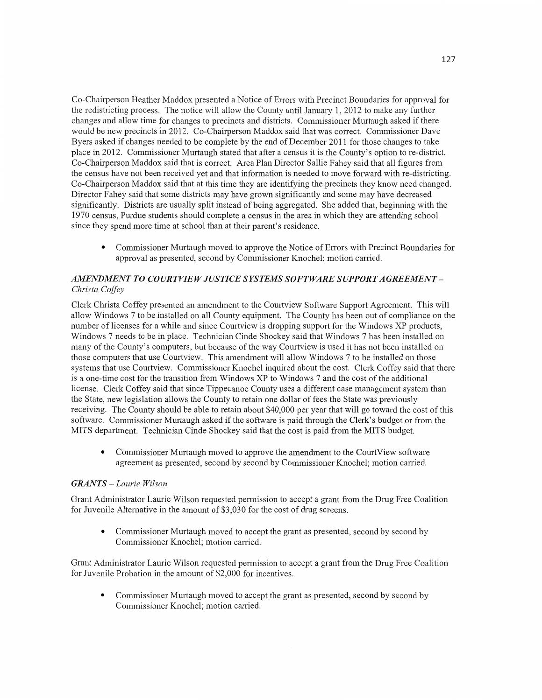Co-Chairperson Heather Maddox presented a Notice of Enrors with Precinct Boundaries for approval for the redistricting process. The notice will allow the County until January 1, 2012 to make any further changes and allow time for changes to precincts and districts. Commissioner Murtaugh asked if there would be new precincts in 2012. Co—Chairperson Maddox said that was correct. Commissioner Dave Byers asked if changes needed to be complete by the end of December 2011 for those changes to take place in 2012. Commissioner Murtaugh stated that after **a** census it is the County's option to re-district. Co-Chairperson Maddox said **that** is correct. Area Plan Director Sallie F ahey said that all figures from the census have not been received yet and **that** information is needed to move forward with re—districting. Co—Chairperson Maddox said that at this time they are identifying the precincts they know need changed. Director Fahey said that some districts may have grown significantly and some may have decreased significantly. Districts are usually split instead of being aggregated. She added that, beginning with the 1970 census, Purdue students should complete a census in the area in which they are attending school since they spend more time at school **than** at their parent's residence.

**0** Commissioner Murtaugh moved to approve the Notice of Errors with Precinct Boundaries for approval as presented, second by Commissioner Knochel; motion carried.

### *AMENDMENT* TO *COURTVIE* WJ UST ICE *SYSTEMS SOFTWARE SUPPORT AGREEMENT — Christa Coffey*

Clerk Christa Coffey presented an amendment to the Courtview Software Support Agreement. This will allow Windows 7 to be installed on all County equipment. The County has been out of compliance on the number of licenses for **a** while and since Courtview is dropping support for the Windows XP products, Windows **7** needs to be in place. Technician Cinde Shockey said that Windows **7** has been installed on many of the County's computers, but because of the way Courtview is used it has not been installed on those computers **that** use Courtview. This amendment will allow Windows **7** to be installed on those systems that use Courtview. Commissioner Knochel inquired about the cost. Clerk Coffey said that there is a one-time cost for the transition from Windows XP to Windows **7** and the **cost** of the additional license. Clerk Coffey said that since Tippecanoe County uses a different case management system than the State, new legislation allows the County to retain one dollar of fees the State was previously receiving. The County should be able to retain about \$40,000 per year that will go toward the cost of this software. Commissioner Murtaugh asked if the software is paid through the Clerk's budget or from the MITS department. **Technician** Cinde Shockey said that the cost is paid from the MITS budget.

**0** Commissioner Murtaugh **moved** to approve the amendment to the CourtView software agreement as presented, second by second by Commissioner Knochel; motion carried.

#### *GRANTS* **—** *Laurie Wilson*

Grant Administrator Laurie Wilson requested permission to accept a grant from the Drug Free Coalition for Juvenile Alternative in the amount of \$3,030 for the cost of drug **screens.** 

**0** Commissioner Murtaugh moved to accept the grant as presented, second by second by Commissioner Knochel; motion carried.

Grant Administrator Laurie Wilson requested permission to accept a grant from the Drug Free Coalition for Juvenile Probation in the amount of \$2,000 for incentives.

**0** Commissioner Murtaugh moved to accept the grant as presented, second by second by Commissioner Knochel; motion carried.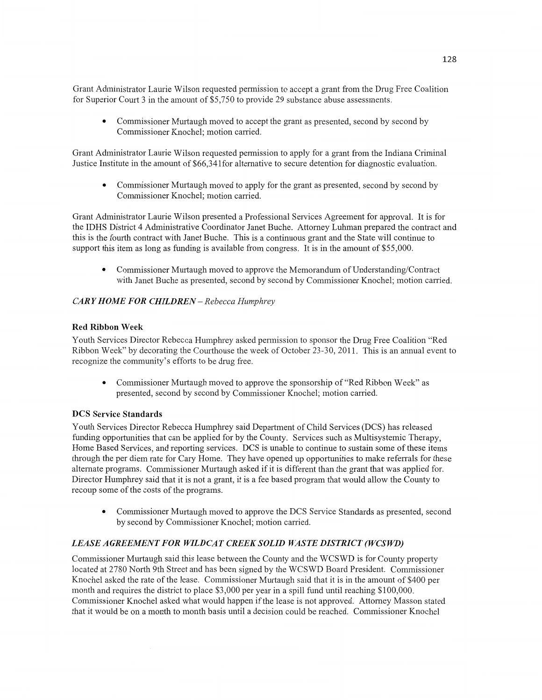Grant Administrator Laurie Wilson requested permission to accept **a** grant from the Drug Free **Coalition**  for Superior **Court** 3 in the amount of \$5,750 to provide 29 substance abuse assessments.

**0** Commissioner Murtaugh moved to accept the grant as presented, second by second by Commissioner Knochel; motion carried.

Grant Administrator Laurie Wilson requested permission to apply for a grant from the Indiana Criminal Justice Institute in the amount of \$66,34lfor alternative to secure detention for diagnostic evaluation.

**0** Commissioner Murtaugh moved to apply for the grant as presented, second by second by Commissioner Knochel; motion carried.

Grant Administrator Laurie Wilson presented a Professional Services Agreement for approval. It is for the **IDHS** Dism'ct 4 Administrative **Coordinator** Janet Buche. Attorney Luhman prepared the contract and this is the fourth contract with Janet **Buche. This** is a continuous grant and the State will continue to support this item as long as funding is available from congress. It is in the amount of \$55,000.

**0** Commissioner Murtaugh moved to approve the Memorandum of Understanding/Contract with Janet Buche as presented, second by second by Commissioner Knochel; motion carried.

## *CARY HOME* FOR *CHILDREN* **—** *Rebecca Humphrey*

### Red **Ribbon Week**

Youth Services Director Rebecca Humphrey asked permission to sponsor the Drug Free Coalition "Red Ribbon Week" by decorating the Courthouse the week of October 23-30, 2011. This is an annual event to recognize the community's efforts to be drug free.

**0** Commissioner Murtaugh moved to approve the sponsorship of "Red Ribbon Week" as presented, second by second by Commissioner Knochel; motion carried.

### DCS **Service Standards**

Youth Services Director Rebecca Humphrey said Department of Child Services (DCS) has released funding opportunities that can be applied for by the County. Services such as Multisystemic Therapy, Home Based Services, and reporting services. DCS is unable to continue to **sustain some** of these items through the per diem rate for Cary **Home.** They have opened up opportunities to make referrals for these alternate programs. Commissioner Murtaugh asked if it is different than the grant that was applied **for.**  Director Humphrey said that it is not a grant, it is a fee based program that would allow the County to recoup some of the costs of the programs.

**0** Commissioner Murtaugh moved to approve the DCS Service Standards as presented, second by second by Commissioner Knochel; motion carried.

### *LEASE AGREEMENT* FOR *WILDCAT CREEK SOLID WASTE DISTRICT (WCSWD)*

Commissioner Murtaugh said this lease between the County and the WCSWD is for County property located at 2780 North 9th Street and has been signed by the WCSWD Board President. Commissioner Knochel asked the rate of the lease. Commissioner Murtaugh said that it is in the amount of \$400 per **month** and requires the district to place \$3,000 per year in a spill fund until reaching \$100,000. Commissioner Knochel asked what would happen if the lease is not approved. Attorney Masson stated that it would be on a month to **month** basis until a decision could be reached. Commissioner Knochel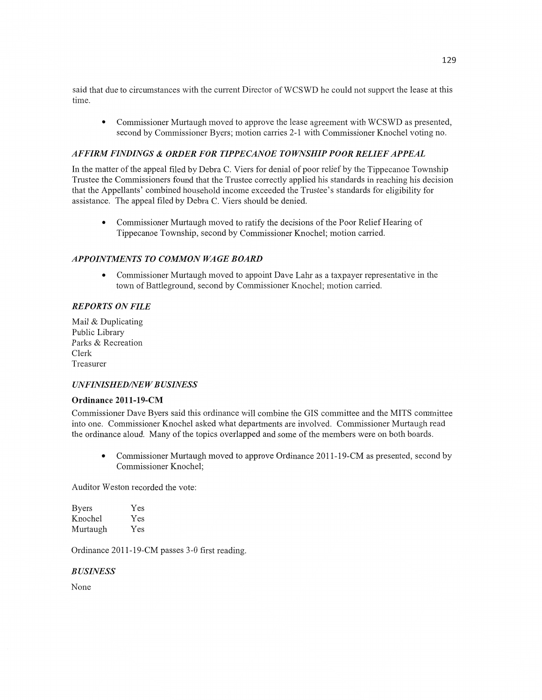said that due to circumstances with the current Director of **WCSWD** he could not support the lease at this time.

**0 Commissioner** Murtaugh moved to approve the lease agreement with WCSWD as presented, second by Commissioner Byers; motion carries 2-1 with Commissioner Knochel voting no.

### *AFFIRM FINDINGS & ORDER* FOR *T IPPE CANOE T 0 WSHIP POOR RELIEF APPEAL*

In the matter of the appeal filed by Debra C. Viers for denial of poor relief by the Tippecanoe Township Trustee the Commissioners found that the Trustee correctly applied his standards in reaching his decision that the Appellants' combined household income exceeded the Trustee's standards for eligibility for assistance. The appeal **filed** by Debra C. Viers should be denied.

**0** Commissioner Murtaugh moved to ratify the decisions of the Poor Relief Hearing of Tippecanoe Township, second by Commissioner Knochel; motion carried.

## **APPOINTMENTS TO COMMON WAGE BOARD**

**0** Commissioner Murtaugh moved to appoint Dave Lahr as **<sup>a</sup>**taxpayer representative in the town of Battleground, second by Commissioner Knochel; motion carried.

### *REPORTS* ON *FILE*

Mail & Duplicating Public Library Parks & Recreation Clerk Treasurer

### $UNFINISHED/NEW BUSINESS$

#### **Ordinance** 201 **1-19-CM**

Commissioner Dave Byers said **this** ordinance **will** combine the GIS committee and the MITS committee into one, Commissioner Knochel asked What departments are involved. Commissioner Murtaugh read the ordinance aloud. Many of the topics overlapped and some of the members were on both boards.

**0** Commissioner Murtaugh moved to approve Ordinance 2011-19-CM as presented, second by Commissioner Knochel;

Auditor Weston recorded the vote:

| <b>Byers</b> | Yes |
|--------------|-----|
| Knochel      | Yes |
| Murtaugh     | Yes |

Ordinance 2011-19-CM passes 3-0 **first reading.** 

*B USINESS* 

None